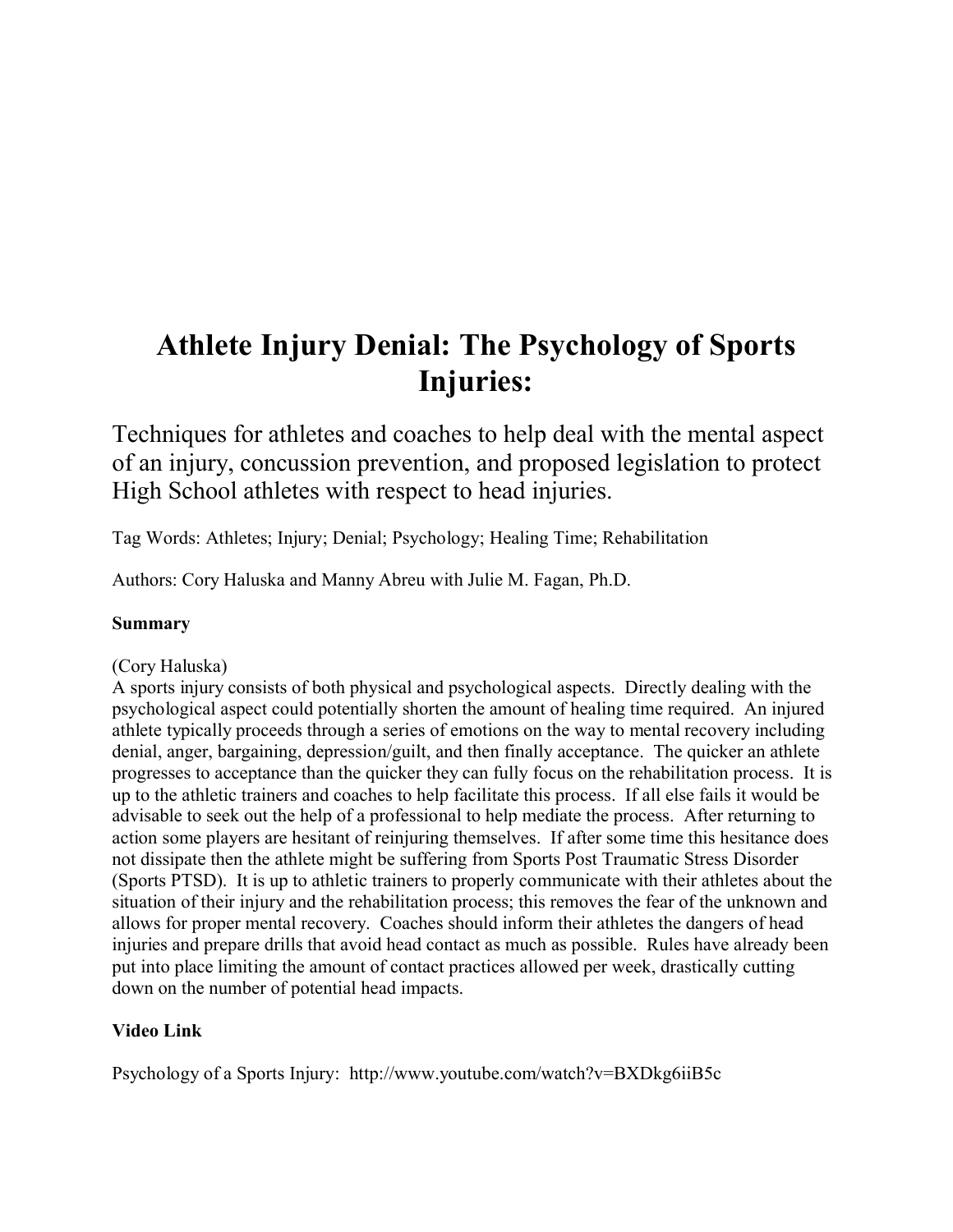# **Athlete Injury Denial: The Psychology of Sports Injuries:**

Techniques for athletes and coaches to help deal with the mental aspect of an injury, concussion prevention, and proposed legislation to protect High School athletes with respect to head injuries.

Tag Words: Athletes; Injury; Denial; Psychology; Healing Time; Rehabilitation

Authors: Cory Haluska and Manny Abreu with Julie M. Fagan, Ph.D.

# **Summary**

# (Cory Haluska)

A sports injury consists of both physical and psychological aspects. Directly dealing with the psychological aspect could potentially shorten the amount of healing time required. An injured athlete typically proceeds through a series of emotions on the way to mental recovery including denial, anger, bargaining, depression/guilt, and then finally acceptance. The quicker an athlete progresses to acceptance than the quicker they can fully focus on the rehabilitation process. It is up to the athletic trainers and coaches to help facilitate this process. If all else fails it would be advisable to seek out the help of a professional to help mediate the process. After returning to action some players are hesitant of reinjuring themselves. If after some time this hesitance does not dissipate then the athlete might be suffering from Sports Post Traumatic Stress Disorder (Sports PTSD). It is up to athletic trainers to properly communicate with their athletes about the situation of their injury and the rehabilitation process; this removes the fear of the unknown and allows for proper mental recovery. Coaches should inform their athletes the dangers of head injuries and prepare drills that avoid head contact as much as possible. Rules have already been put into place limiting the amount of contact practices allowed per week, drastically cutting down on the number of potential head impacts.

# **Video Link**

Psychology of a Sports Injury: <http://www.youtube.com/watch?v=BXDkg6iiB5c>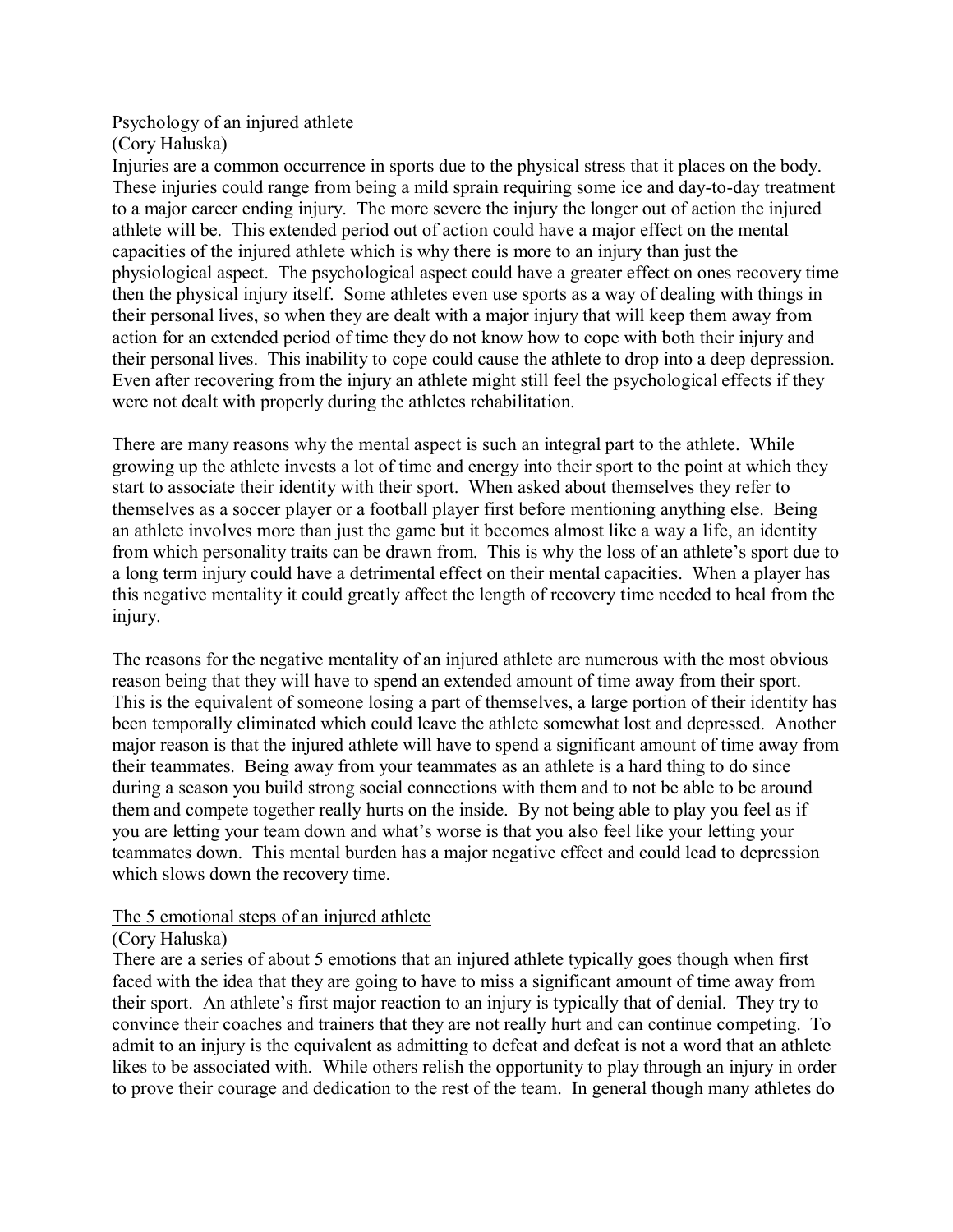# Psychology of an injured athlete

(Cory Haluska)

Injuries are a common occurrence in sports due to the physical stress that it places on the body. These injuries could range from being a mild sprain requiring some ice and day-to-day treatment to a major career ending injury. The more severe the injury the longer out of action the injured athlete will be. This extended period out of action could have a major effect on the mental capacities of the injured athlete which is why there is more to an injury than just the physiological aspect. The psychological aspect could have a greater effect on ones recovery time then the physical injury itself. Some athletes even use sports as a way of dealing with things in their personal lives, so when they are dealt with a major injury that will keep them away from action for an extended period of time they do not know how to cope with both their injury and their personal lives. This inability to cope could cause the athlete to drop into a deep depression. Even after recovering from the injury an athlete might still feel the psychological effects if they were not dealt with properly during the athletes rehabilitation.

There are many reasons why the mental aspect is such an integral part to the athlete. While growing up the athlete invests a lot of time and energy into their sport to the point at which they start to associate their identity with their sport. When asked about themselves they refer to themselves as a soccer player or a football player first before mentioning anything else. Being an athlete involves more than just the game but it becomes almost like a way a life, an identity from which personality traits can be drawn from. This is why the loss of an athlete's sport due to a long term injury could have a detrimental effect on their mental capacities. When a player has this negative mentality it could greatly affect the length of recovery time needed to heal from the injury.

The reasons for the negative mentality of an injured athlete are numerous with the most obvious reason being that they will have to spend an extended amount of time away from their sport. This is the equivalent of someone losing a part of themselves, a large portion of their identity has been temporally eliminated which could leave the athlete somewhat lost and depressed. Another major reason is that the injured athlete will have to spend a significant amount of time away from their teammates. Being away from your teammates as an athlete is a hard thing to do since during a season you build strong social connections with them and to not be able to be around them and compete together really hurts on the inside. By not being able to play you feel as if you are letting your team down and what's worse is that you also feel like your letting your teammates down. This mental burden has a major negative effect and could lead to depression which slows down the recovery time.

# The 5 emotional steps of an injured athlete

# (Cory Haluska)

There are a series of about 5 emotions that an injured athlete typically goes though when first faced with the idea that they are going to have to miss a significant amount of time away from their sport. An athlete's first major reaction to an injury is typically that of denial. They try to convince their coaches and trainers that they are not really hurt and can continue competing. To admit to an injury is the equivalent as admitting to defeat and defeat is not a word that an athlete likes to be associated with. While others relish the opportunity to play through an injury in order to prove their courage and dedication to the rest of the team. In general though many athletes do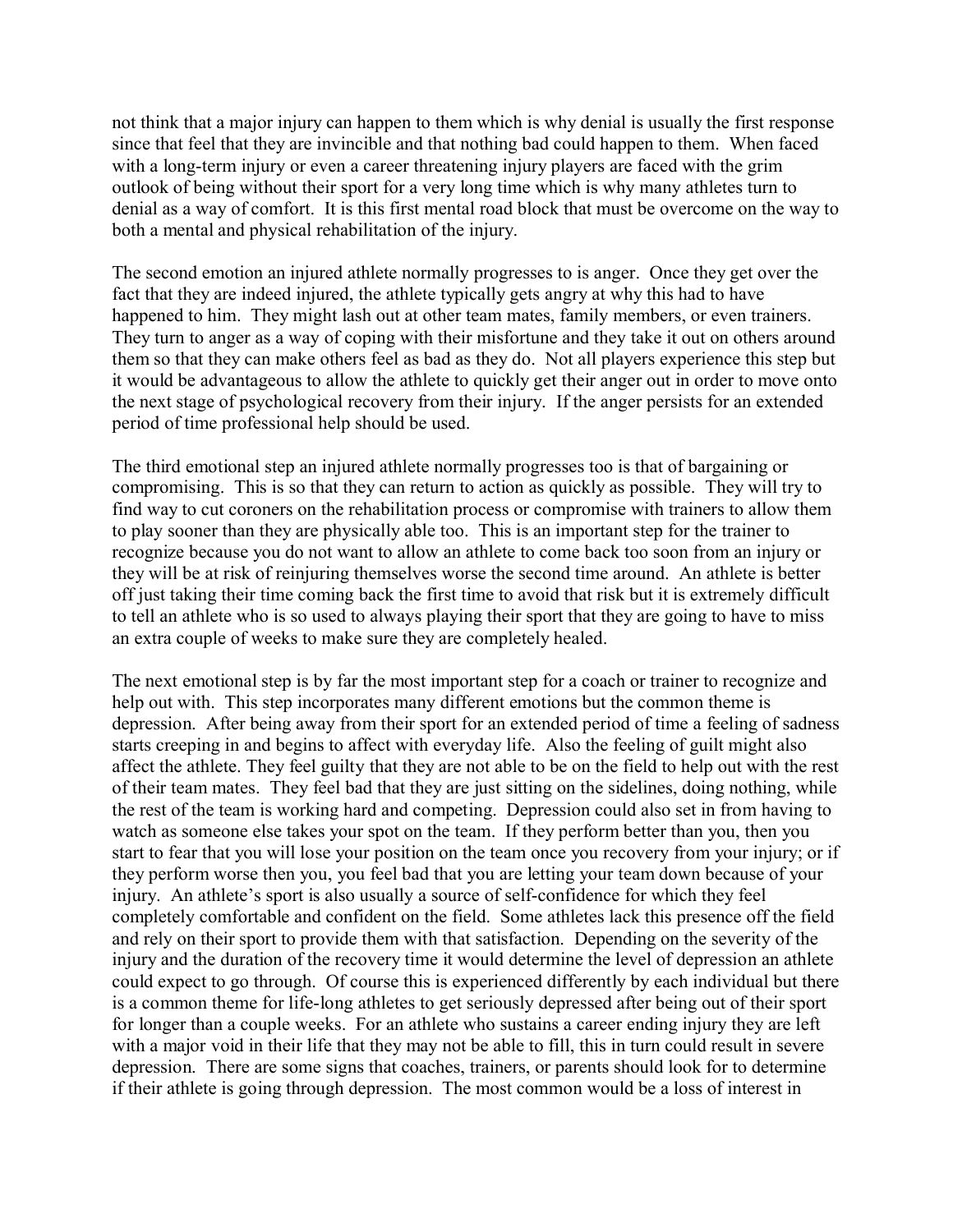not think that a major injury can happen to them which is why denial is usually the first response since that feel that they are invincible and that nothing bad could happen to them. When faced with a long-term injury or even a career threatening injury players are faced with the grim outlook of being without their sport for a very long time which is why many athletes turn to denial as a way of comfort. It is this first mental road block that must be overcome on the way to both a mental and physical rehabilitation of the injury.

The second emotion an injured athlete normally progresses to is anger. Once they get over the fact that they are indeed injured, the athlete typically gets angry at why this had to have happened to him. They might lash out at other team mates, family members, or even trainers. They turn to anger as a way of coping with their misfortune and they take it out on others around them so that they can make others feel as bad as they do. Not all players experience this step but it would be advantageous to allow the athlete to quickly get their anger out in order to move onto the next stage of psychological recovery from their injury. If the anger persists for an extended period of time professional help should be used.

The third emotional step an injured athlete normally progresses too is that of bargaining or compromising. This is so that they can return to action as quickly as possible. They will try to find way to cut coroners on the rehabilitation process or compromise with trainers to allow them to play sooner than they are physically able too. This is an important step for the trainer to recognize because you do not want to allow an athlete to come back too soon from an injury or they will be at risk of reinjuring themselves worse the second time around. An athlete is better off just taking their time coming back the first time to avoid that risk but it is extremely difficult to tell an athlete who is so used to always playing their sport that they are going to have to miss an extra couple of weeks to make sure they are completely healed.

The next emotional step is by far the most important step for a coach or trainer to recognize and help out with. This step incorporates many different emotions but the common theme is depression. After being away from their sport for an extended period of time a feeling of sadness starts creeping in and begins to affect with everyday life. Also the feeling of guilt might also affect the athlete. They feel guilty that they are not able to be on the field to help out with the rest of their team mates. They feel bad that they are just sitting on the sidelines, doing nothing, while the rest of the team is working hard and competing. Depression could also set in from having to watch as someone else takes your spot on the team. If they perform better than you, then you start to fear that you will lose your position on the team once you recovery from your injury; or if they perform worse then you, you feel bad that you are letting your team down because of your injury. An athlete's sport is also usually a source of self-confidence for which they feel completely comfortable and confident on the field. Some athletes lack this presence off the field and rely on their sport to provide them with that satisfaction. Depending on the severity of the injury and the duration of the recovery time it would determine the level of depression an athlete could expect to go through. Of course this is experienced differently by each individual but there is a common theme for life-long athletes to get seriously depressed after being out of their sport for longer than a couple weeks. For an athlete who sustains a career ending injury they are left with a major void in their life that they may not be able to fill, this in turn could result in severe depression. There are some signs that coaches, trainers, or parents should look for to determine if their athlete is going through depression. The most common would be a loss of interest in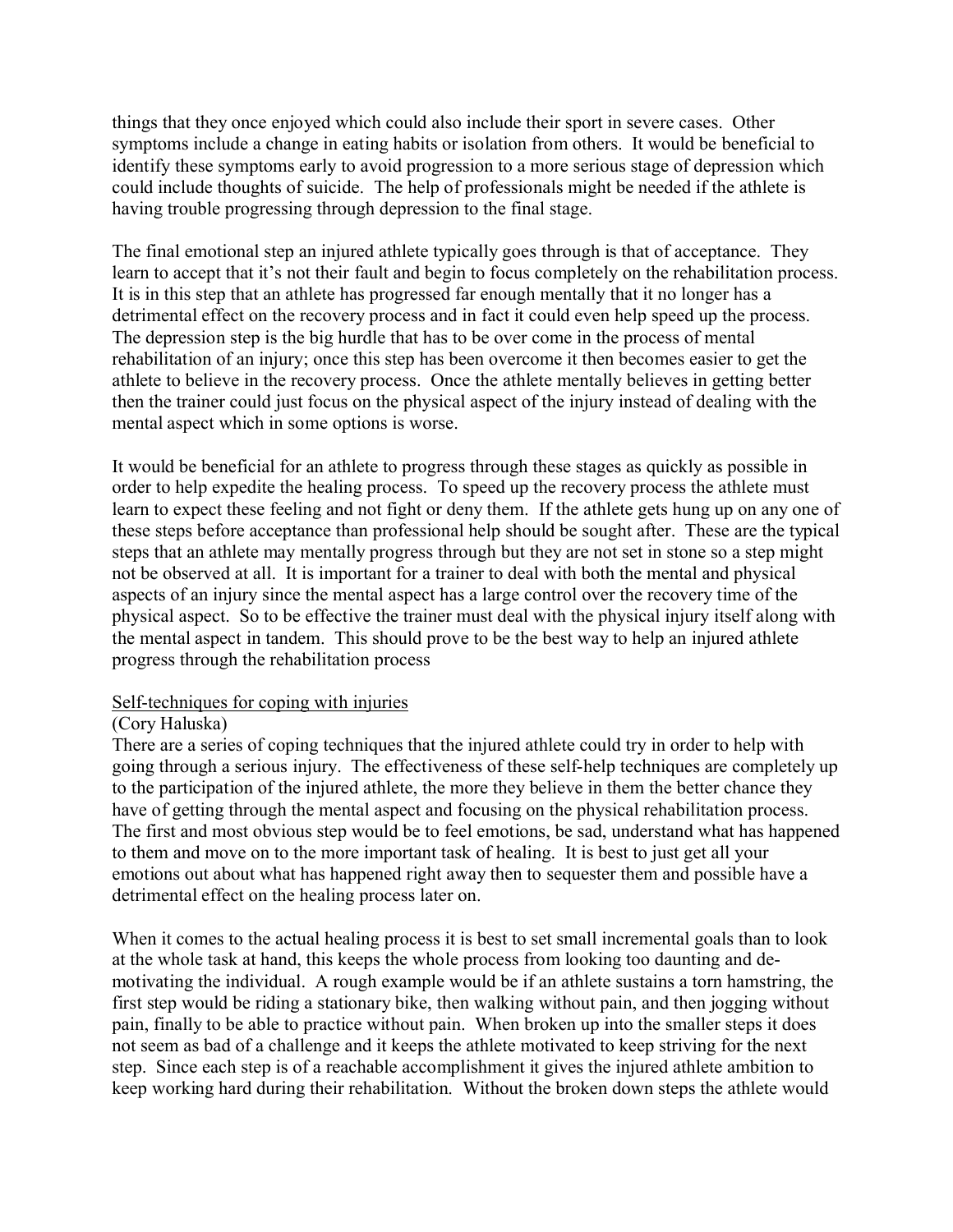things that they once enjoyed which could also include their sport in severe cases. Other symptoms include a change in eating habits or isolation from others. It would be beneficial to identify these symptoms early to avoid progression to a more serious stage of depression which could include thoughts of suicide. The help of professionals might be needed if the athlete is having trouble progressing through depression to the final stage.

The final emotional step an injured athlete typically goes through is that of acceptance. They learn to accept that it's not their fault and begin to focus completely on the rehabilitation process. It is in this step that an athlete has progressed far enough mentally that it no longer has a detrimental effect on the recovery process and in fact it could even help speed up the process. The depression step is the big hurdle that has to be over come in the process of mental rehabilitation of an injury; once this step has been overcome it then becomes easier to get the athlete to believe in the recovery process. Once the athlete mentally believes in getting better then the trainer could just focus on the physical aspect of the injury instead of dealing with the mental aspect which in some options is worse.

It would be beneficial for an athlete to progress through these stages as quickly as possible in order to help expedite the healing process. To speed up the recovery process the athlete must learn to expect these feeling and not fight or deny them. If the athlete gets hung up on any one of these steps before acceptance than professional help should be sought after. These are the typical steps that an athlete may mentally progress through but they are not set in stone so a step might not be observed at all. It is important for a trainer to deal with both the mental and physical aspects of an injury since the mental aspect has a large control over the recovery time of the physical aspect. So to be effective the trainer must deal with the physical injury itself along with the mental aspect in tandem. This should prove to be the best way to help an injured athlete progress through the rehabilitation process

# Self-techniques for coping with injuries

# (Cory Haluska)

There are a series of coping techniques that the injured athlete could try in order to help with going through a serious injury. The effectiveness of these self-help techniques are completely up to the participation of the injured athlete, the more they believe in them the better chance they have of getting through the mental aspect and focusing on the physical rehabilitation process. The first and most obvious step would be to feel emotions, be sad, understand what has happened to them and move on to the more important task of healing. It is best to just get all your emotions out about what has happened right away then to sequester them and possible have a detrimental effect on the healing process later on.

When it comes to the actual healing process it is best to set small incremental goals than to look at the whole task at hand, this keeps the whole process from looking too daunting and demotivating the individual. A rough example would be if an athlete sustains a torn hamstring, the first step would be riding a stationary bike, then walking without pain, and then jogging without pain, finally to be able to practice without pain. When broken up into the smaller steps it does not seem as bad of a challenge and it keeps the athlete motivated to keep striving for the next step. Since each step is of a reachable accomplishment it gives the injured athlete ambition to keep working hard during their rehabilitation. Without the broken down steps the athlete would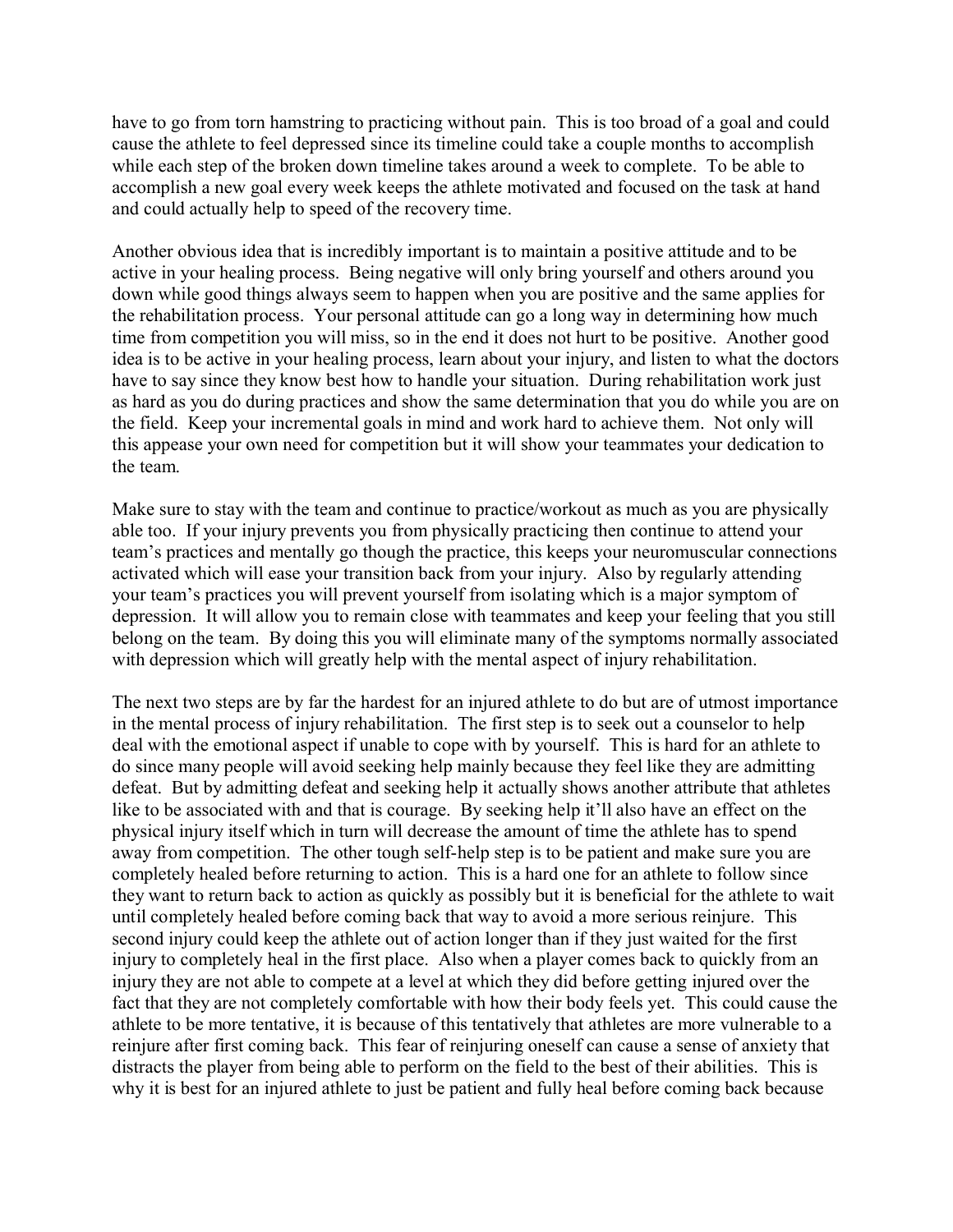have to go from torn hamstring to practicing without pain. This is too broad of a goal and could cause the athlete to feel depressed since its timeline could take a couple months to accomplish while each step of the broken down timeline takes around a week to complete. To be able to accomplish a new goal every week keeps the athlete motivated and focused on the task at hand and could actually help to speed of the recovery time.

Another obvious idea that is incredibly important is to maintain a positive attitude and to be active in your healing process. Being negative will only bring yourself and others around you down while good things always seem to happen when you are positive and the same applies for the rehabilitation process. Your personal attitude can go a long way in determining how much time from competition you will miss, so in the end it does not hurt to be positive. Another good idea is to be active in your healing process, learn about your injury, and listen to what the doctors have to say since they know best how to handle your situation. During rehabilitation work just as hard as you do during practices and show the same determination that you do while you are on the field. Keep your incremental goals in mind and work hard to achieve them. Not only will this appease your own need for competition but it will show your teammates your dedication to the team.

Make sure to stay with the team and continue to practice/workout as much as you are physically able too. If your injury prevents you from physically practicing then continue to attend your team's practices and mentally go though the practice, this keeps your neuromuscular connections activated which will ease your transition back from your injury. Also by regularly attending your team's practices you will prevent yourself from isolating which is a major symptom of depression. It will allow you to remain close with teammates and keep your feeling that you still belong on the team. By doing this you will eliminate many of the symptoms normally associated with depression which will greatly help with the mental aspect of injury rehabilitation.

The next two steps are by far the hardest for an injured athlete to do but are of utmost importance in the mental process of injury rehabilitation. The first step is to seek out a counselor to help deal with the emotional aspect if unable to cope with by yourself. This is hard for an athlete to do since many people will avoid seeking help mainly because they feel like they are admitting defeat. But by admitting defeat and seeking help it actually shows another attribute that athletes like to be associated with and that is courage. By seeking help it'll also have an effect on the physical injury itself which in turn will decrease the amount of time the athlete has to spend away from competition. The other tough self-help step is to be patient and make sure you are completely healed before returning to action. This is a hard one for an athlete to follow since they want to return back to action as quickly as possibly but it is beneficial for the athlete to wait until completely healed before coming back that way to avoid a more serious reinjure. This second injury could keep the athlete out of action longer than if they just waited for the first injury to completely heal in the first place. Also when a player comes back to quickly from an injury they are not able to compete at a level at which they did before getting injured over the fact that they are not completely comfortable with how their body feels yet. This could cause the athlete to be more tentative, it is because of this tentatively that athletes are more vulnerable to a reinjure after first coming back. This fear of reinjuring oneself can cause a sense of anxiety that distracts the player from being able to perform on the field to the best of their abilities. This is why it is best for an injured athlete to just be patient and fully heal before coming back because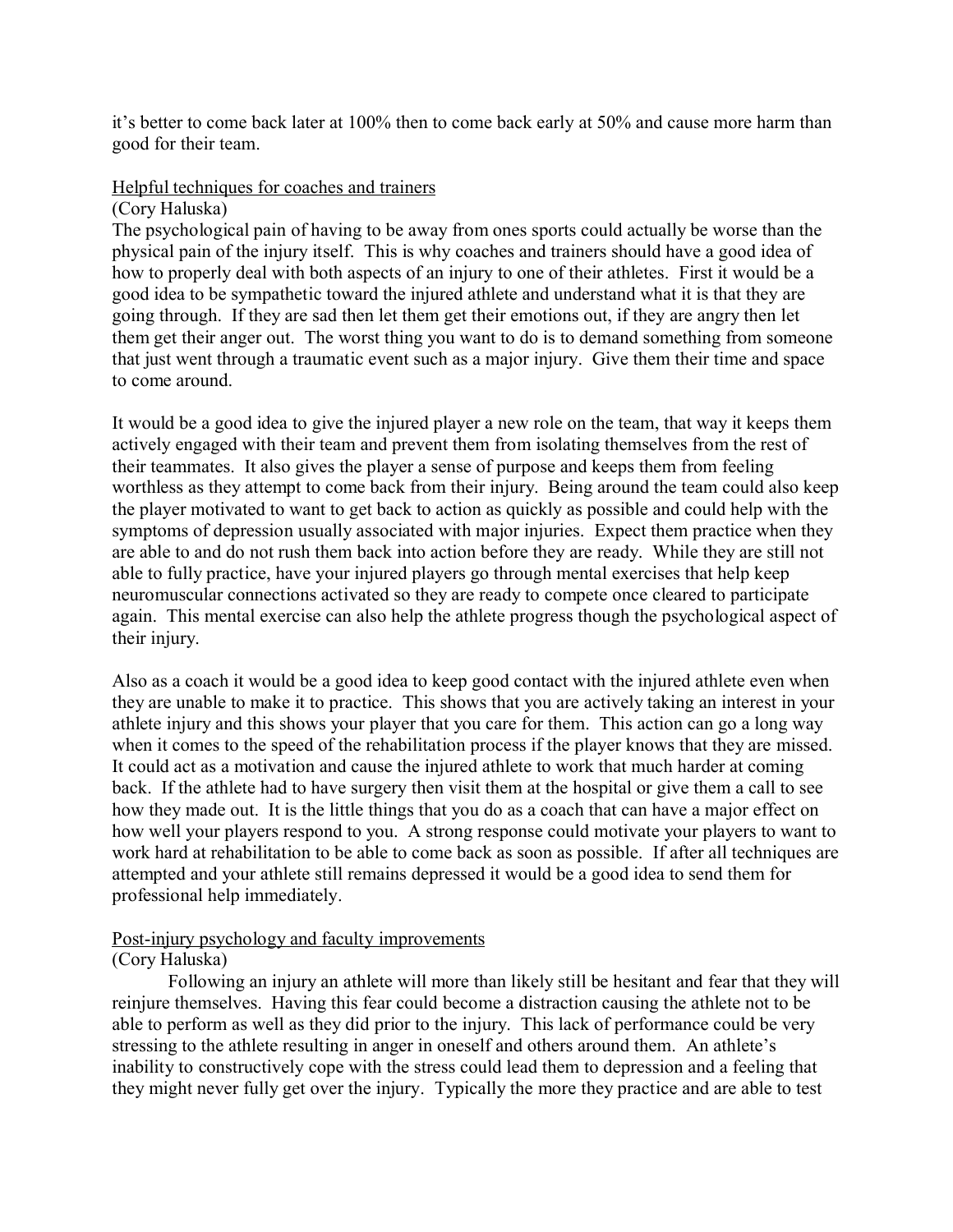it's better to come back later at 100% then to come back early at 50% and cause more harm than good for their team.

# Helpful techniques for coaches and trainers

#### (Cory Haluska)

The psychological pain of having to be away from ones sports could actually be worse than the physical pain of the injury itself. This is why coaches and trainers should have a good idea of how to properly deal with both aspects of an injury to one of their athletes. First it would be a good idea to be sympathetic toward the injured athlete and understand what it is that they are going through. If they are sad then let them get their emotions out, if they are angry then let them get their anger out. The worst thing you want to do is to demand something from someone that just went through a traumatic event such as a major injury. Give them their time and space to come around.

It would be a good idea to give the injured player a new role on the team, that way it keeps them actively engaged with their team and prevent them from isolating themselves from the rest of their teammates. It also gives the player a sense of purpose and keeps them from feeling worthless as they attempt to come back from their injury. Being around the team could also keep the player motivated to want to get back to action as quickly as possible and could help with the symptoms of depression usually associated with major injuries. Expect them practice when they are able to and do not rush them back into action before they are ready. While they are still not able to fully practice, have your injured players go through mental exercises that help keep neuromuscular connections activated so they are ready to compete once cleared to participate again. This mental exercise can also help the athlete progress though the psychological aspect of their injury.

Also as a coach it would be a good idea to keep good contact with the injured athlete even when they are unable to make it to practice. This shows that you are actively taking an interest in your athlete injury and this shows your player that you care for them. This action can go a long way when it comes to the speed of the rehabilitation process if the player knows that they are missed. It could act as a motivation and cause the injured athlete to work that much harder at coming back. If the athlete had to have surgery then visit them at the hospital or give them a call to see how they made out. It is the little things that you do as a coach that can have a major effect on how well your players respond to you. A strong response could motivate your players to want to work hard at rehabilitation to be able to come back as soon as possible. If after all techniques are attempted and your athlete still remains depressed it would be a good idea to send them for professional help immediately.

# Post-injury psychology and faculty improvements

# (Cory Haluska)

Following an injury an athlete will more than likely still be hesitant and fear that they will reinjure themselves. Having this fear could become a distraction causing the athlete not to be able to perform as well as they did prior to the injury. This lack of performance could be very stressing to the athlete resulting in anger in oneself and others around them. An athlete's inability to constructively cope with the stress could lead them to depression and a feeling that they might never fully get over the injury. Typically the more they practice and are able to test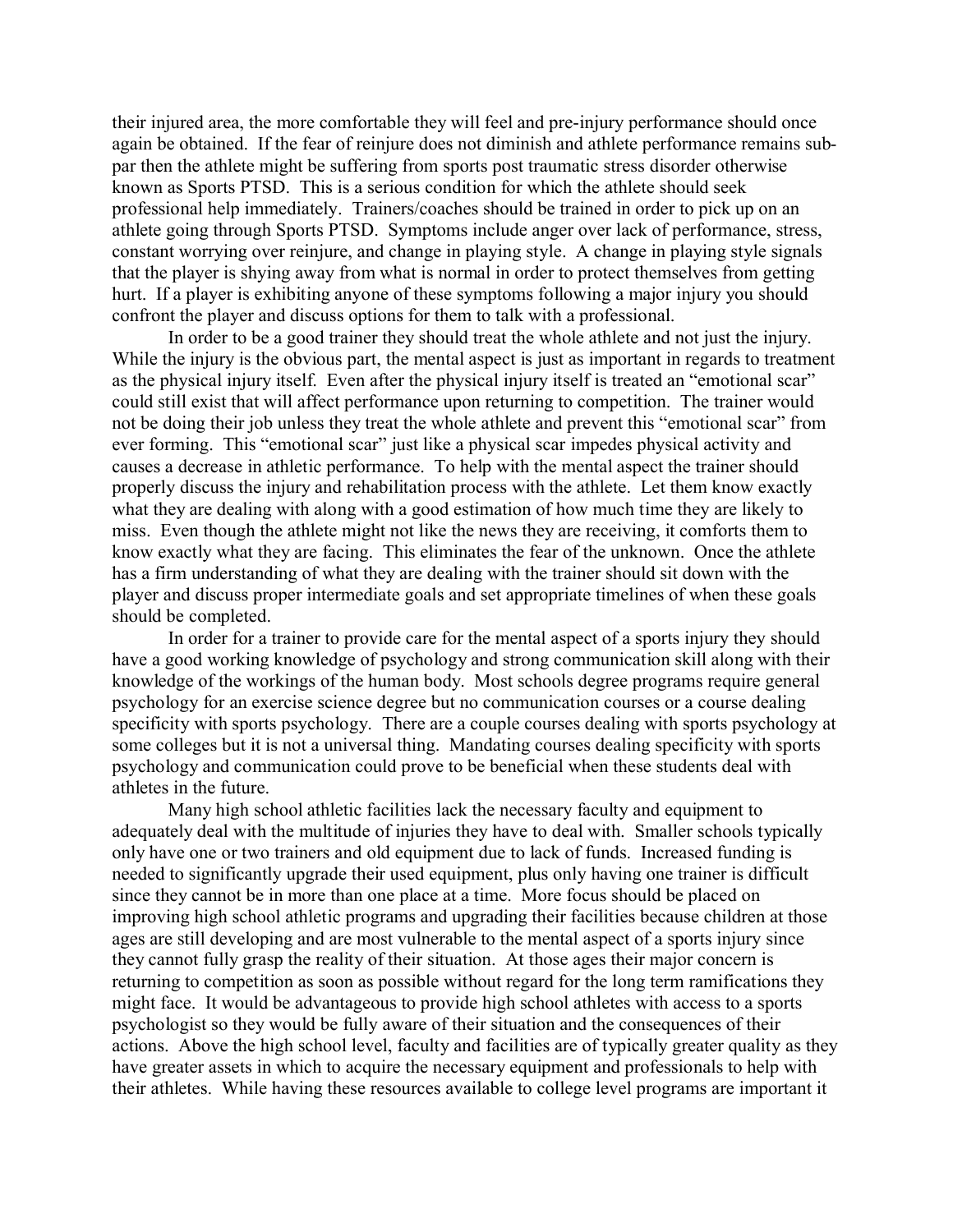their injured area, the more comfortable they will feel and pre-injury performance should once again be obtained. If the fear of reinjure does not diminish and athlete performance remains subpar then the athlete might be suffering from sports post traumatic stress disorder otherwise known as Sports PTSD. This is a serious condition for which the athlete should seek professional help immediately. Trainers/coaches should be trained in order to pick up on an athlete going through Sports PTSD. Symptoms include anger over lack of performance, stress, constant worrying over reinjure, and change in playing style. A change in playing style signals that the player is shying away from what is normal in order to protect themselves from getting hurt. If a player is exhibiting anyone of these symptoms following a major injury you should confront the player and discuss options for them to talk with a professional.

In order to be a good trainer they should treat the whole athlete and not just the injury. While the injury is the obvious part, the mental aspect is just as important in regards to treatment as the physical injury itself. Even after the physical injury itself is treated an "emotional scar" could still exist that will affect performance upon returning to competition. The trainer would not be doing their job unless they treat the whole athlete and prevent this "emotional scar" from ever forming. This "emotional scar" just like a physical scar impedes physical activity and causes a decrease in athletic performance. To help with the mental aspect the trainer should properly discuss the injury and rehabilitation process with the athlete. Let them know exactly what they are dealing with along with a good estimation of how much time they are likely to miss. Even though the athlete might not like the news they are receiving, it comforts them to know exactly what they are facing. This eliminates the fear of the unknown. Once the athlete has a firm understanding of what they are dealing with the trainer should sit down with the player and discuss proper intermediate goals and set appropriate timelines of when these goals should be completed.

In order for a trainer to provide care for the mental aspect of a sports injury they should have a good working knowledge of psychology and strong communication skill along with their knowledge of the workings of the human body. Most schools degree programs require general psychology for an exercise science degree but no communication courses or a course dealing specificity with sports psychology. There are a couple courses dealing with sports psychology at some colleges but it is not a universal thing. Mandating courses dealing specificity with sports psychology and communication could prove to be beneficial when these students deal with athletes in the future.

Many high school athletic facilities lack the necessary faculty and equipment to adequately deal with the multitude of injuries they have to deal with. Smaller schools typically only have one or two trainers and old equipment due to lack of funds. Increased funding is needed to significantly upgrade their used equipment, plus only having one trainer is difficult since they cannot be in more than one place at a time. More focus should be placed on improving high school athletic programs and upgrading their facilities because children at those ages are still developing and are most vulnerable to the mental aspect of a sports injury since they cannot fully grasp the reality of their situation. At those ages their major concern is returning to competition as soon as possible without regard for the long term ramifications they might face. It would be advantageous to provide high school athletes with access to a sports psychologist so they would be fully aware of their situation and the consequences of their actions. Above the high school level, faculty and facilities are of typically greater quality as they have greater assets in which to acquire the necessary equipment and professionals to help with their athletes. While having these resources available to college level programs are important it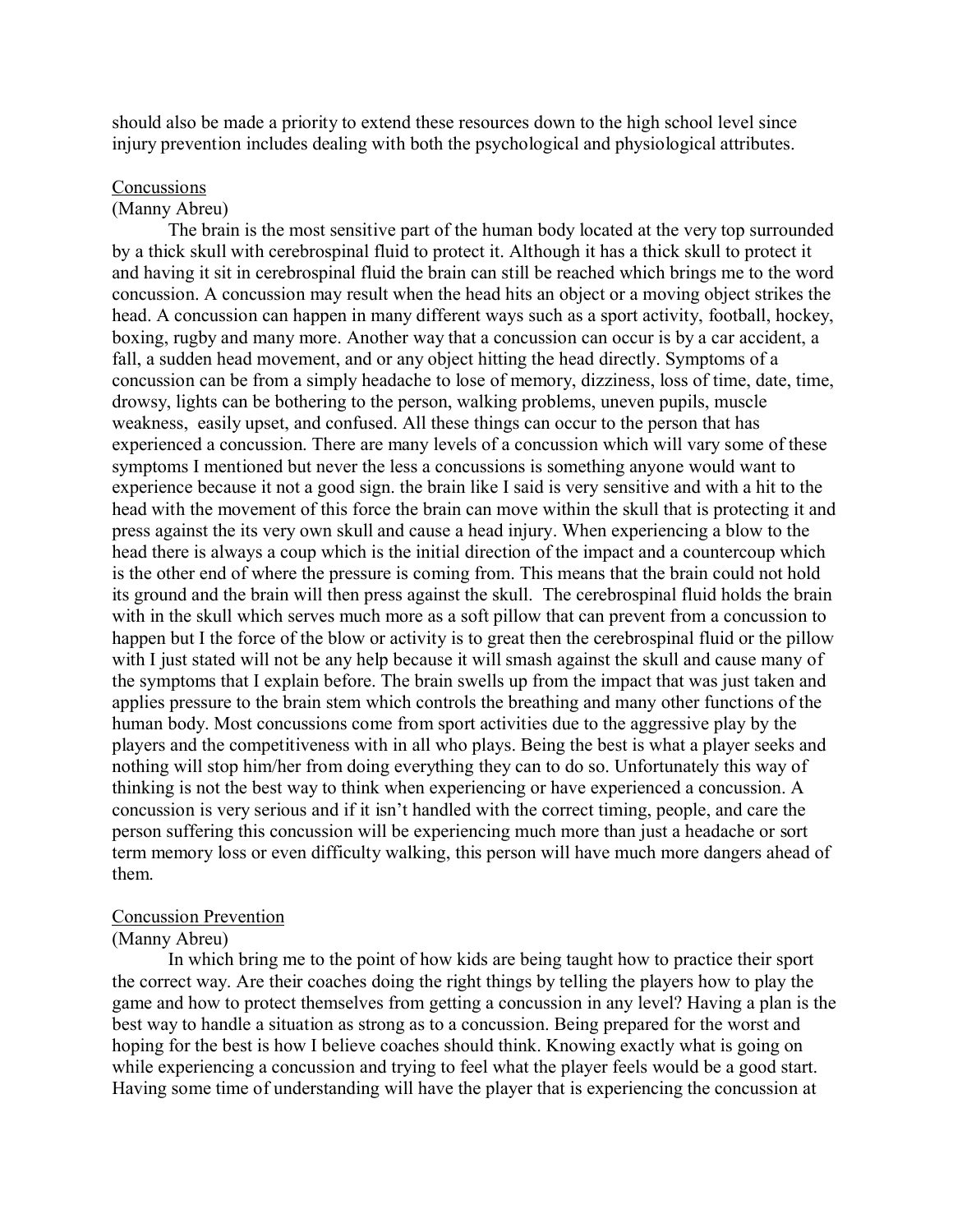should also be made a priority to extend these resources down to the high school level since injury prevention includes dealing with both the psychological and physiological attributes.

#### **Concussions**

#### (Manny Abreu)

The brain is the most sensitive part of the human body located at the very top surrounded by a thick skull with cerebrospinal fluid to protect it. Although it has a thick skull to protect it and having it sit in cerebrospinal fluid the brain can still be reached which brings me to the word concussion. A concussion may result when the head hits an object or a moving object strikes the head. A concussion can happen in many different ways such as a sport activity, football, hockey, boxing, rugby and many more. Another way that a concussion can occur is by a car accident, a fall, a sudden head movement, and or any object hitting the head directly. Symptoms of a concussion can be from a simply headache to lose of memory, dizziness, loss of time, date, time, drowsy, lights can be bothering to the person, walking problems, uneven pupils, muscle weakness, easily upset, and confused. All these things can occur to the person that has experienced a concussion. There are many levels of a concussion which will vary some of these symptoms I mentioned but never the less a concussions is something anyone would want to experience because it not a good sign. the brain like I said is very sensitive and with a hit to the head with the movement of this force the brain can move within the skull that is protecting it and press against the its very own skull and cause a head injury. When experiencing a blow to the head there is always a coup which is the initial direction of the impact and a countercoup which is the other end of where the pressure is coming from. This means that the brain could not hold its ground and the brain will then press against the skull. The cerebrospinal fluid holds the brain with in the skull which serves much more as a soft pillow that can prevent from a concussion to happen but I the force of the blow or activity is to great then the cerebrospinal fluid or the pillow with I just stated will not be any help because it will smash against the skull and cause many of the symptoms that I explain before. The brain swells up from the impact that was just taken and applies pressure to the brain stem which controls the breathing and many other functions of the human body. Most concussions come from sport activities due to the aggressive play by the players and the competitiveness with in all who plays. Being the best is what a player seeks and nothing will stop him/her from doing everything they can to do so. Unfortunately this way of thinking is not the best way to think when experiencing or have experienced a concussion. A concussion is very serious and if it isn't handled with the correct timing, people, and care the person suffering this concussion will be experiencing much more than just a headache or sort term memory loss or even difficulty walking, this person will have much more dangers ahead of them.

#### Concussion Prevention

#### (Manny Abreu)

In which bring me to the point of how kids are being taught how to practice their sport the correct way. Are their coaches doing the right things by telling the players how to play the game and how to protect themselves from getting a concussion in any level? Having a plan is the best way to handle a situation as strong as to a concussion. Being prepared for the worst and hoping for the best is how I believe coaches should think. Knowing exactly what is going on while experiencing a concussion and trying to feel what the player feels would be a good start. Having some time of understanding will have the player that is experiencing the concussion at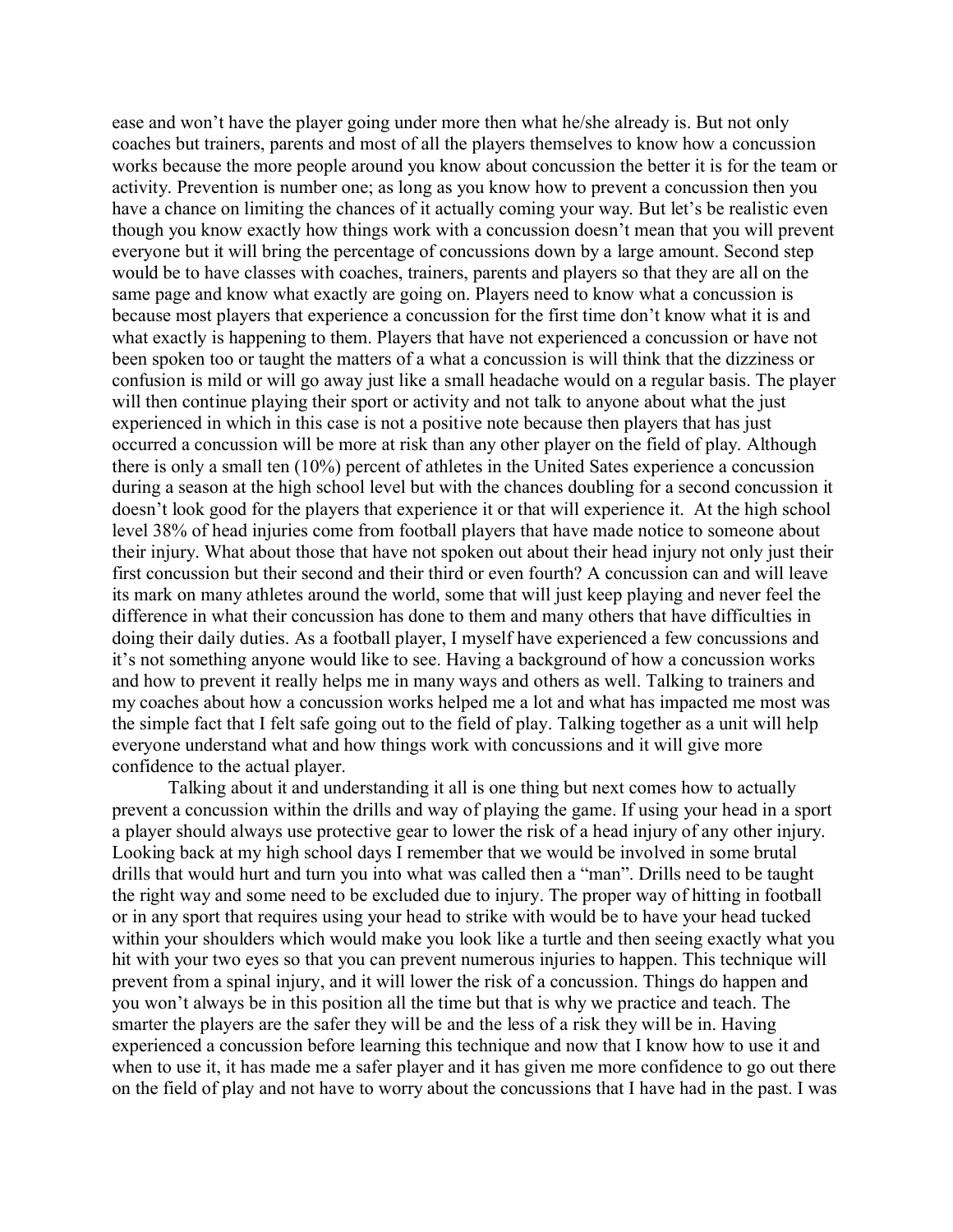ease and won't have the player going under more then what he/she already is. But not only coaches but trainers, parents and most of all the players themselves to know how a concussion works because the more people around you know about concussion the better it is for the team or activity. Prevention is number one; as long as you know how to prevent a concussion then you have a chance on limiting the chances of it actually coming your way. But let's be realistic even though you know exactly how things work with a concussion doesn't mean that you will prevent everyone but it will bring the percentage of concussions down by a large amount. Second step would be to have classes with coaches, trainers, parents and players so that they are all on the same page and know what exactly are going on. Players need to know what a concussion is because most players that experience a concussion for the first time don't know what it is and what exactly is happening to them. Players that have not experienced a concussion or have not been spoken too or taught the matters of a what a concussion is will think that the dizziness or confusion is mild or will go away just like a small headache would on a regular basis. The player will then continue playing their sport or activity and not talk to anyone about what the just experienced in which in this case is not a positive note because then players that has just occurred a concussion will be more at risk than any other player on the field of play. Although there is only a small ten (10%) percent of athletes in the United Sates experience a concussion during a season at the high school level but with the chances doubling for a second concussion it doesn't look good for the players that experience it or that will experience it. At the high school level 38% of head injuries come from football players that have made notice to someone about their injury. What about those that have not spoken out about their head injury not only just their first concussion but their second and their third or even fourth? A concussion can and will leave its mark on many athletes around the world, some that will just keep playing and never feel the difference in what their concussion has done to them and many others that have difficulties in doing their daily duties. As a football player, I myself have experienced a few concussions and it's not something anyone would like to see. Having a background of how a concussion works and how to prevent it really helps me in many ways and others as well. Talking to trainers and my coaches about how a concussion works helped me a lot and what has impacted me most was the simple fact that I felt safe going out to the field of play. Talking together as a unit will help everyone understand what and how things work with concussions and it will give more confidence to the actual player.

Talking about it and understanding it all is one thing but next comes how to actually prevent a concussion within the drills and way of playing the game. If using your head in a sport a player should always use protective gear to lower the risk of a head injury of any other injury. Looking back at my high school days I remember that we would be involved in some brutal drills that would hurt and turn you into what was called then a "man". Drills need to be taught the right way and some need to be excluded due to injury. The proper way of hitting in football or in any sport that requires using your head to strike with would be to have your head tucked within your shoulders which would make you look like a turtle and then seeing exactly what you hit with your two eyes so that you can prevent numerous injuries to happen. This technique will prevent from a spinal injury, and it will lower the risk of a concussion. Things do happen and you won't always be in this position all the time but that is why we practice and teach. The smarter the players are the safer they will be and the less of a risk they will be in. Having experienced a concussion before learning this technique and now that I know how to use it and when to use it, it has made me a safer player and it has given me more confidence to go out there on the field of play and not have to worry about the concussions that I have had in the past. I was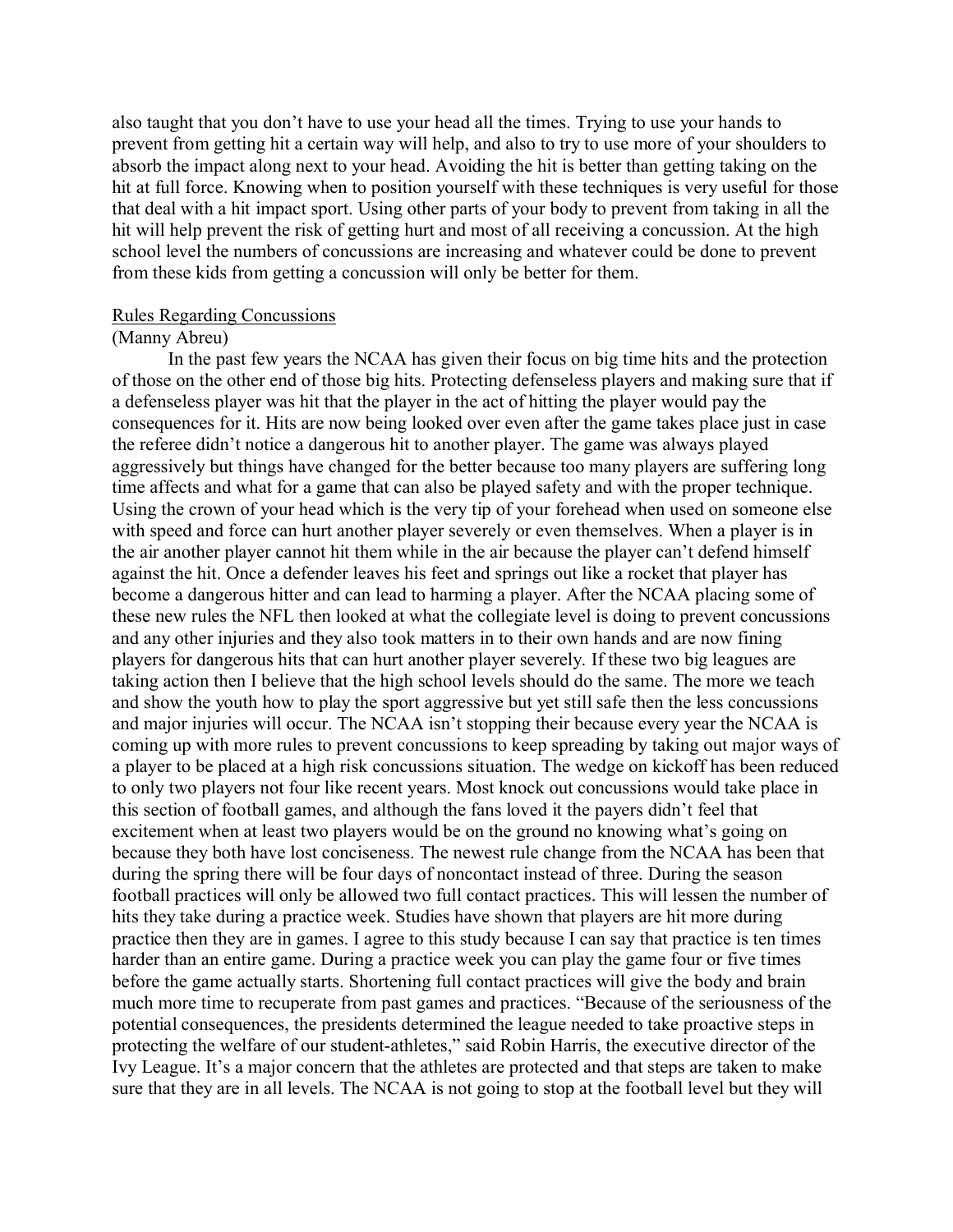also taught that you don't have to use your head all the times. Trying to use your hands to prevent from getting hit a certain way will help, and also to try to use more of your shoulders to absorb the impact along next to your head. Avoiding the hit is better than getting taking on the hit at full force. Knowing when to position yourself with these techniques is very useful for those that deal with a hit impact sport. Using other parts of your body to prevent from taking in all the hit will help prevent the risk of getting hurt and most of all receiving a concussion. At the high school level the numbers of concussions are increasing and whatever could be done to prevent from these kids from getting a concussion will only be better for them.

#### Rules Regarding Concussions

# (Manny Abreu)

In the past few years the NCAA has given their focus on big time hits and the protection of those on the other end of those big hits. Protecting defenseless players and making sure that if a defenseless player was hit that the player in the act of hitting the player would pay the consequences for it. Hits are now being looked over even after the game takes place just in case the referee didn't notice a dangerous hit to another player. The game was always played aggressively but things have changed for the better because too many players are suffering long time affects and what for a game that can also be played safety and with the proper technique. Using the crown of your head which is the very tip of your forehead when used on someone else with speed and force can hurt another player severely or even themselves. When a player is in the air another player cannot hit them while in the air because the player can't defend himself against the hit. Once a defender leaves his feet and springs out like a rocket that player has become a dangerous hitter and can lead to harming a player. After the NCAA placing some of these new rules the NFL then looked at what the collegiate level is doing to prevent concussions and any other injuries and they also took matters in to their own hands and are now fining players for dangerous hits that can hurt another player severely. If these two big leagues are taking action then I believe that the high school levels should do the same. The more we teach and show the youth how to play the sport aggressive but yet still safe then the less concussions and major injuries will occur. The NCAA isn't stopping their because every year the NCAA is coming up with more rules to prevent concussions to keep spreading by taking out major ways of a player to be placed at a high risk concussions situation. The wedge on kickoff has been reduced to only two players not four like recent years. Most knock out concussions would take place in this section of football games, and although the fans loved it the payers didn't feel that excitement when at least two players would be on the ground no knowing what's going on because they both have lost conciseness. The newest rule change from the NCAA has been that during the spring there will be four days of noncontact instead of three. During the season football practices will only be allowed two full contact practices. This will lessen the number of hits they take during a practice week. Studies have shown that players are hit more during practice then they are in games. I agree to this study because I can say that practice is ten times harder than an entire game. During a practice week you can play the game four or five times before the game actually starts. Shortening full contact practices will give the body and brain much more time to recuperate from past games and practices. "Because of the seriousness of the potential consequences, the presidents determined the league needed to take proactive steps in protecting the welfare of our student-athletes," said Robin Harris, the executive director of the Ivy League. It's a major concern that the athletes are protected and that steps are taken to make sure that they are in all levels. The NCAA is not going to stop at the football level but they will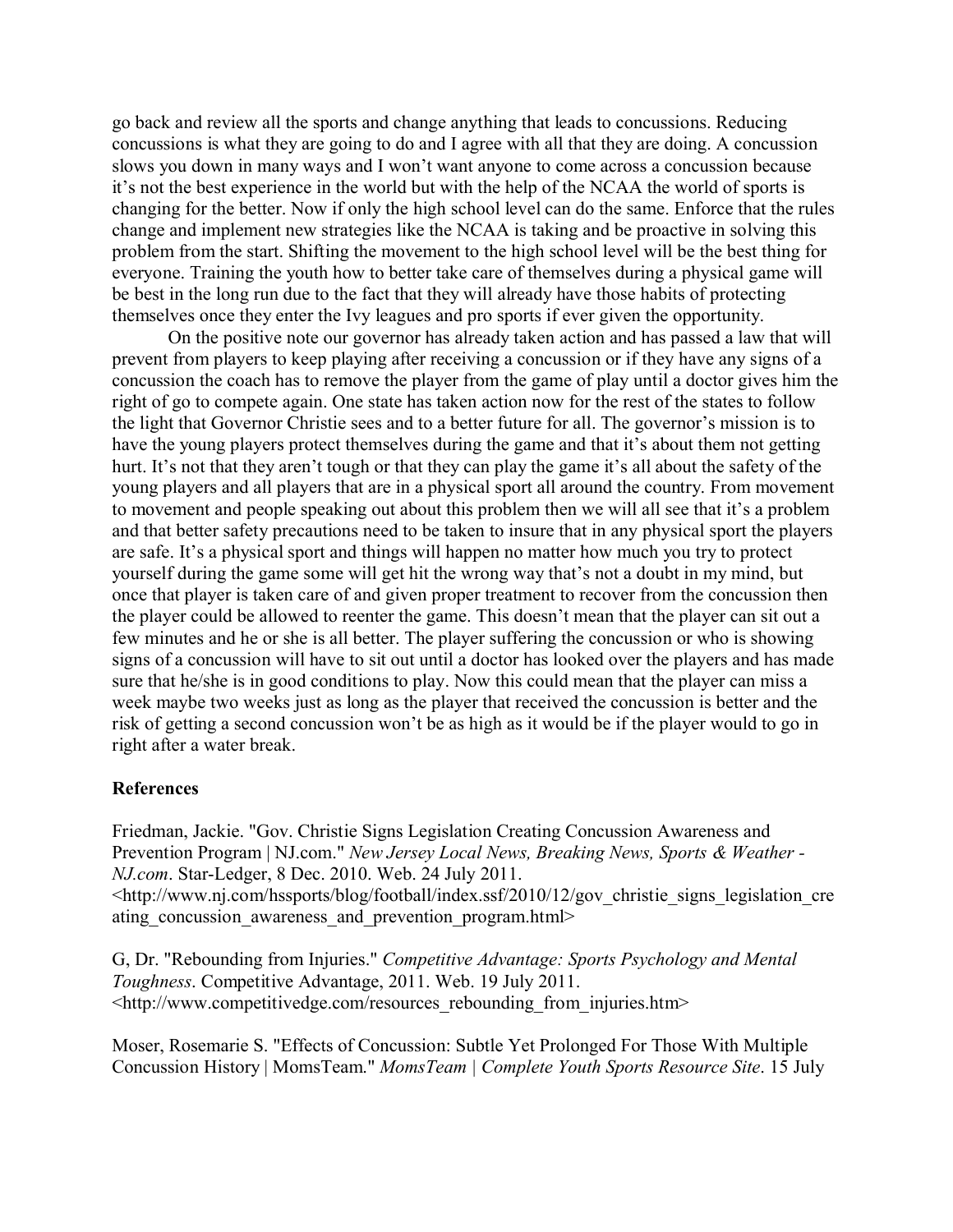go back and review all the sports and change anything that leads to concussions. Reducing concussions is what they are going to do and I agree with all that they are doing. A concussion slows you down in many ways and I won't want anyone to come across a concussion because it's not the best experience in the world but with the help of the NCAA the world of sports is changing for the better. Now if only the high school level can do the same. Enforce that the rules change and implement new strategies like the NCAA is taking and be proactive in solving this problem from the start. Shifting the movement to the high school level will be the best thing for everyone. Training the youth how to better take care of themselves during a physical game will be best in the long run due to the fact that they will already have those habits of protecting themselves once they enter the Ivy leagues and pro sports if ever given the opportunity.

On the positive note our governor has already taken action and has passed a law that will prevent from players to keep playing after receiving a concussion or if they have any signs of a concussion the coach has to remove the player from the game of play until a doctor gives him the right of go to compete again. One state has taken action now for the rest of the states to follow the light that Governor Christie sees and to a better future for all. The governor's mission is to have the young players protect themselves during the game and that it's about them not getting hurt. It's not that they aren't tough or that they can play the game it's all about the safety of the young players and all players that are in a physical sport all around the country. From movement to movement and people speaking out about this problem then we will all see that it's a problem and that better safety precautions need to be taken to insure that in any physical sport the players are safe. It's a physical sport and things will happen no matter how much you try to protect yourself during the game some will get hit the wrong way that's not a doubt in my mind, but once that player is taken care of and given proper treatment to recover from the concussion then the player could be allowed to reenter the game. This doesn't mean that the player can sit out a few minutes and he or she is all better. The player suffering the concussion or who is showing signs of a concussion will have to sit out until a doctor has looked over the players and has made sure that he/she is in good conditions to play. Now this could mean that the player can miss a week maybe two weeks just as long as the player that received the concussion is better and the risk of getting a second concussion won't be as high as it would be if the player would to go in right after a water break.

# **References**

Friedman, Jackie. "Gov. Christie Signs Legislation Creating Concussion Awareness and Prevention Program | NJ.com." *New Jersey Local News, Breaking News, Sports & Weather - NJ.com*. Star-Ledger, 8 Dec. 2010. Web. 24 July 2011. <http://www.nj.com/hssports/blog/football/index.ssf/2010/12/gov\_christie\_signs\_legislation\_cre ating concussion awareness and prevention program.html>

G, Dr. "Rebounding from Injuries." *Competitive Advantage: Sports Psychology and Mental Toughness*. Competitive Advantage, 2011. Web. 19 July 2011. <http://www.competitivedge.com/resources\_rebounding\_from\_injuries.htm>

Moser, Rosemarie S. "Effects of Concussion: Subtle Yet Prolonged For Those With Multiple Concussion History | MomsTeam." *MomsTeam | Complete Youth Sports Resource Site*. 15 July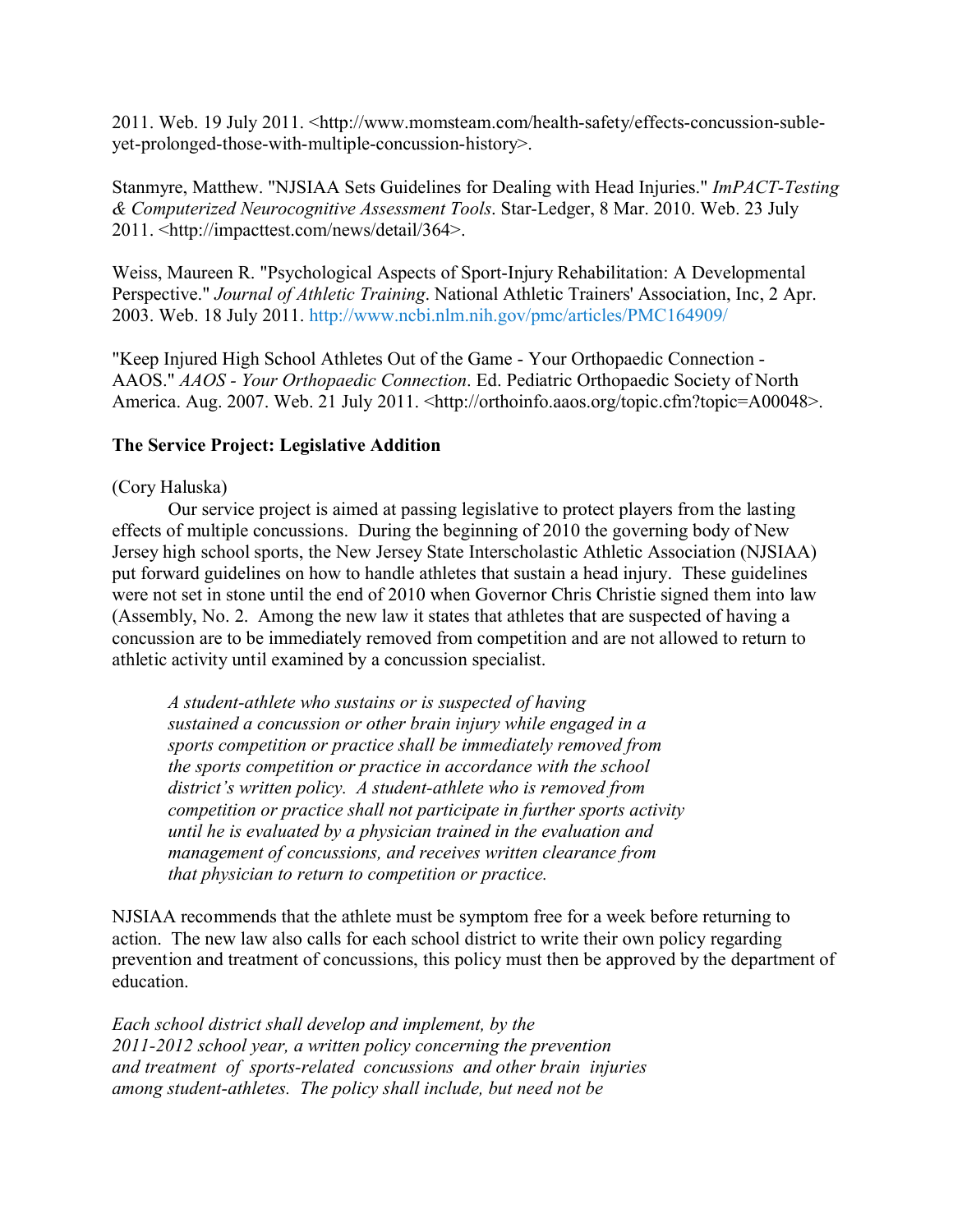2011. Web. 19 July 2011. <http://www.momsteam.com/health-safety/effects-concussion-subleyet-prolonged-those-with-multiple-concussion-history>.

Stanmyre, Matthew. "NJSIAA Sets Guidelines for Dealing with Head Injuries." *ImPACT-Testing & Computerized Neurocognitive Assessment Tools*. Star-Ledger, 8 Mar. 2010. Web. 23 July 2011. <http://impacttest.com/news/detail/364>.

Weiss, Maureen R. "Psychological Aspects of Sport-Injury Rehabilitation: A Developmental Perspective." *Journal of Athletic Training*. National Athletic Trainers' Association, Inc, 2 Apr. 2003. Web. 18 July 2011.<http://www.ncbi.nlm.nih.gov/pmc/articles/PMC164909/>

"Keep Injured High School Athletes Out of the Game - Your Orthopaedic Connection - AAOS." *AAOS - Your Orthopaedic Connection*. Ed. Pediatric Orthopaedic Society of North America. Aug. 2007. Web. 21 July 2011. <http://orthoinfo.aaos.org/topic.cfm?topic=A00048>.

# **The Service Project: Legislative Addition**

# (Cory Haluska)

Our service project is aimed at passing legislative to protect players from the lasting effects of multiple concussions. During the beginning of 2010 the governing body of New Jersey high school sports, the New Jersey State Interscholastic Athletic Association (NJSIAA) put forward guidelines on how to handle athletes that sustain a head injury. These guidelines were not set in stone until the end of 2010 when Governor Chris Christie signed them into law (Assembly, No. 2. Among the new law it states that athletes that are suspected of having a concussion are to be immediately removed from competition and are not allowed to return to athletic activity until examined by a concussion specialist.

*A student-athlete who sustains or is suspected of having sustained a concussion or other brain injury while engaged in a sports competition or practice shall be immediately removed from the sports competition or practice in accordance with the school district's written policy. A student-athlete who is removed from competition or practice shall not participate in further sports activity until he is evaluated by a physician trained in the evaluation and management of concussions, and receives written clearance from that physician to return to competition or practice.*

NJSIAA recommends that the athlete must be symptom free for a week before returning to action. The new law also calls for each school district to write their own policy regarding prevention and treatment of concussions, this policy must then be approved by the department of education.

*Each school district shall develop and implement, by the 2011-2012 school year, a written policy concerning the prevention and treatment of sports-related concussions and other brain injuries among student-athletes. The policy shall include, but need not be*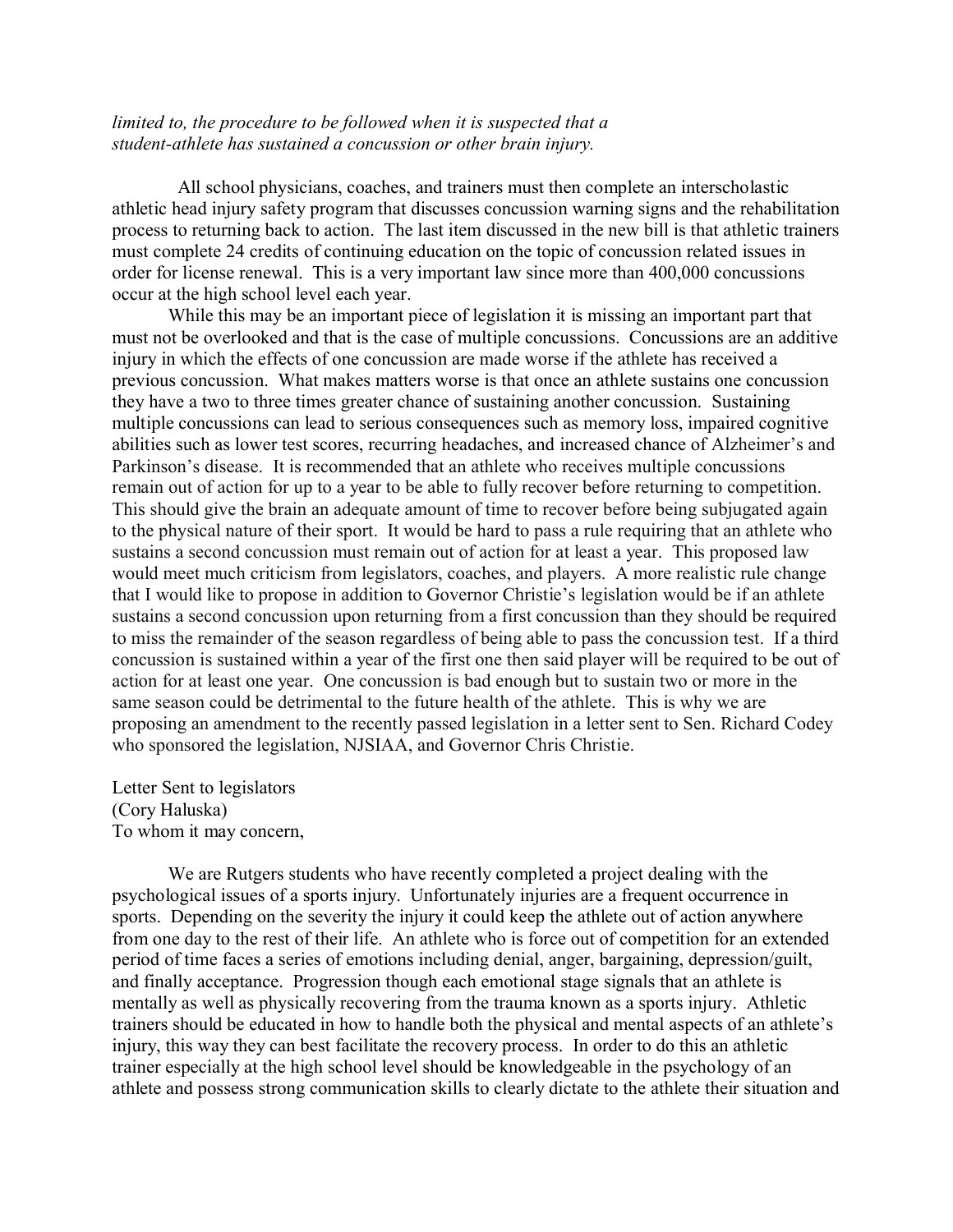# *limited to, the procedure to be followed when it is suspected that a student-athlete has sustained a concussion or other brain injury.*

 All school physicians, coaches, and trainers must then complete an interscholastic athletic head injury safety program that discusses concussion warning signs and the rehabilitation process to returning back to action. The last item discussed in the new bill is that athletic trainers must complete 24 credits of continuing education on the topic of concussion related issues in order for license renewal. This is a very important law since more than 400,000 concussions occur at the high school level each year.

While this may be an important piece of legislation it is missing an important part that must not be overlooked and that is the case of multiple concussions. Concussions are an additive injury in which the effects of one concussion are made worse if the athlete has received a previous concussion. What makes matters worse is that once an athlete sustains one concussion they have a two to three times greater chance of sustaining another concussion. Sustaining multiple concussions can lead to serious consequences such as memory loss, impaired cognitive abilities such as lower test scores, recurring headaches, and increased chance of Alzheimer's and Parkinson's disease. It is recommended that an athlete who receives multiple concussions remain out of action for up to a year to be able to fully recover before returning to competition. This should give the brain an adequate amount of time to recover before being subjugated again to the physical nature of their sport. It would be hard to pass a rule requiring that an athlete who sustains a second concussion must remain out of action for at least a year. This proposed law would meet much criticism from legislators, coaches, and players. A more realistic rule change that I would like to propose in addition to Governor Christie's legislation would be if an athlete sustains a second concussion upon returning from a first concussion than they should be required to miss the remainder of the season regardless of being able to pass the concussion test. If a third concussion is sustained within a year of the first one then said player will be required to be out of action for at least one year. One concussion is bad enough but to sustain two or more in the same season could be detrimental to the future health of the athlete. This is why we are proposing an amendment to the recently passed legislation in a letter sent to Sen. Richard Codey who sponsored the legislation, NJSIAA, and Governor Chris Christie.

Letter Sent to legislators (Cory Haluska) To whom it may concern,

We are Rutgers students who have recently completed a project dealing with the psychological issues of a sports injury. Unfortunately injuries are a frequent occurrence in sports. Depending on the severity the injury it could keep the athlete out of action anywhere from one day to the rest of their life. An athlete who is force out of competition for an extended period of time faces a series of emotions including denial, anger, bargaining, depression/guilt, and finally acceptance. Progression though each emotional stage signals that an athlete is mentally as well as physically recovering from the trauma known as a sports injury. Athletic trainers should be educated in how to handle both the physical and mental aspects of an athlete's injury, this way they can best facilitate the recovery process. In order to do this an athletic trainer especially at the high school level should be knowledgeable in the psychology of an athlete and possess strong communication skills to clearly dictate to the athlete their situation and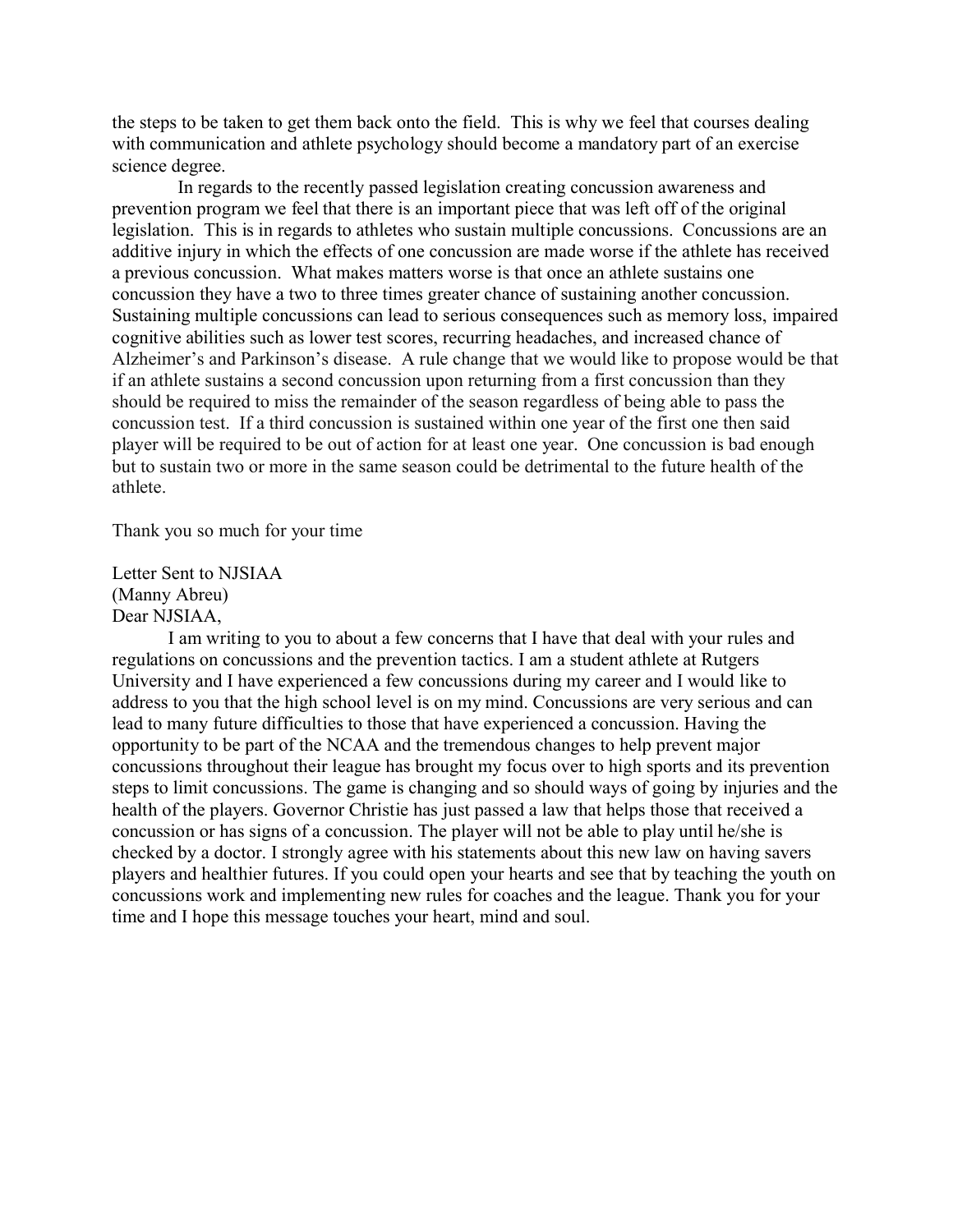the steps to be taken to get them back onto the field. This is why we feel that courses dealing with communication and athlete psychology should become a mandatory part of an exercise science degree.

In regards to the recently passed legislation creating concussion awareness and prevention program we feel that there is an important piece that was left off of the original legislation. This is in regards to athletes who sustain multiple concussions. Concussions are an additive injury in which the effects of one concussion are made worse if the athlete has received a previous concussion. What makes matters worse is that once an athlete sustains one concussion they have a two to three times greater chance of sustaining another concussion. Sustaining multiple concussions can lead to serious consequences such as memory loss, impaired cognitive abilities such as lower test scores, recurring headaches, and increased chance of Alzheimer's and Parkinson's disease. A rule change that we would like to propose would be that if an athlete sustains a second concussion upon returning from a first concussion than they should be required to miss the remainder of the season regardless of being able to pass the concussion test. If a third concussion is sustained within one year of the first one then said player will be required to be out of action for at least one year. One concussion is bad enough but to sustain two or more in the same season could be detrimental to the future health of the athlete.

Thank you so much for your time

Letter Sent to NJSIAA (Manny Abreu) Dear NJSIAA,

I am writing to you to about a few concerns that I have that deal with your rules and regulations on concussions and the prevention tactics. I am a student athlete at Rutgers University and I have experienced a few concussions during my career and I would like to address to you that the high school level is on my mind. Concussions are very serious and can lead to many future difficulties to those that have experienced a concussion. Having the opportunity to be part of the NCAA and the tremendous changes to help prevent major concussions throughout their league has brought my focus over to high sports and its prevention steps to limit concussions. The game is changing and so should ways of going by injuries and the health of the players. Governor Christie has just passed a law that helps those that received a concussion or has signs of a concussion. The player will not be able to play until he/she is checked by a doctor. I strongly agree with his statements about this new law on having savers players and healthier futures. If you could open your hearts and see that by teaching the youth on concussions work and implementing new rules for coaches and the league. Thank you for your time and I hope this message touches your heart, mind and soul.